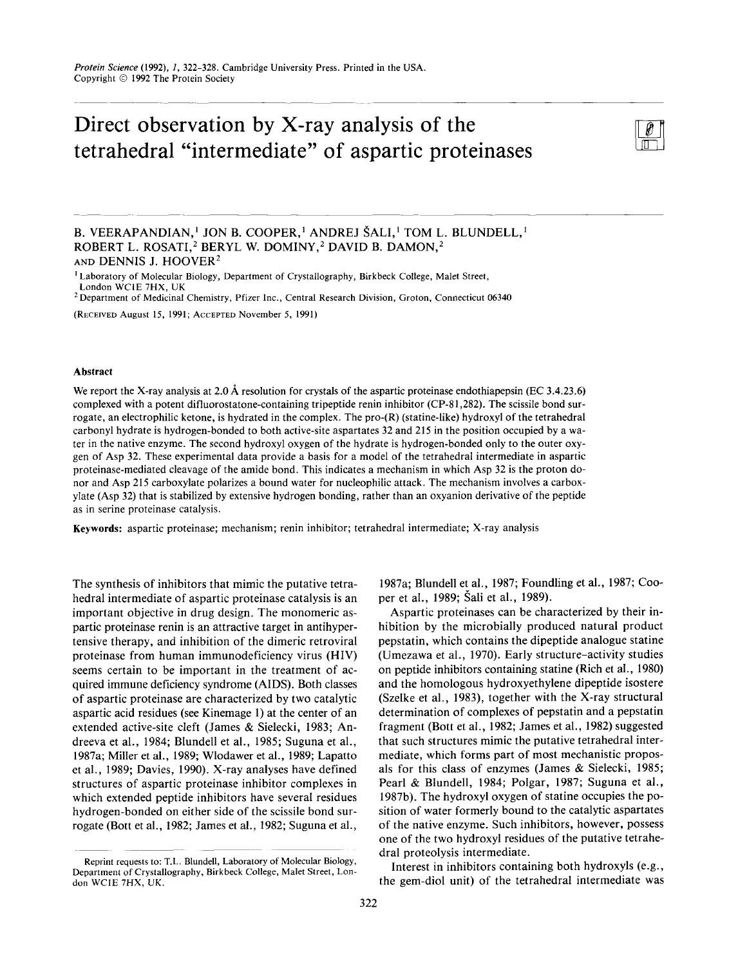# Direct observation by X-ray analysis of the tetrahedral "intermediate" of aspartic proteinases



B. VEERAPANDIAN,' JON B. COOPER,' ANDREJ SALI,' TOM L. BLUNDELL,' ROBERT L. ROSATI,<sup>2</sup> BERYL W. DOMINY,<sup>2</sup> DAVID B. DAMON,<sup>2</sup> **AND** DENNIS J. HOOVER2

' Laboratory of Molecular Biology, Department of Crystallography, Birkbeck College, Malet Street,

'Department of Medicinal Chemistry, Pfizer Inc., Central Research Division, Croton, Connecticut **06340** 

(RECEIVED **August** 15, 1991; ACCEPTED November *5,* **1991)** 

### **Abstract**

We report the X-ray analysis at 2.0 Å resolution for crystals of the aspartic proteinase endothiapepsin (EC 3.4.23.6) complexed with a potent difluorostatone-containing tripeptide renin inhibitor (CP-81,282). The scissile bond **sur**rogate, an electrophilic ketone, is hydrated in the complex. The pro-(R) (statine-like) hydroxyl of the tetrahedral carbonyl hydrate is hydrogen-bonded to both active-site aspartates 32 and 215 in the position occupied by a water in the native enzyme. The second hydroxyl oxygen of the hydrate is hydrogen-bonded only to the outer oxygen of Asp 32. These experimental data provide a basis for a model of the tetrahedral intermediate in aspartic proteinase-mediated cleavage of the amide bond. This indicates a mechanism in which Asp 32 is the proton donor and Asp 215 carboxylate polarizes a bound water for nucleophilic attack. The mechanism involves a carboxylate (Asp 32) that is stabilized by extensive hydrogen bonding, rather than an oxyanion derivative of the peptide as in serine proteinase catalysis.

**Keywords:** aspartic proteinase; mechanism; renin inhibitor; tetrahedral intermediate; X-ray analysis

The synthesis of inhibitors that mimic the putative tetrahedral intermediate of aspartic proteinase catalysis is an important objective in drug design. The monomeric aspartic proteinase renin is an attractive target in antihypertensive therapy, and inhibition of the dimeric retroviral proteinase from human immunodeficiency virus (HIV) seems certain to be important in the treatment of acquired immune deficiency syndrome (AIDS). Both classes of aspartic proteinase are characterized by two catalytic aspartic acid residues (see Kinemage 1) at the center of an extended active-site cleft (James & Sielecki, 1983; Andreeva et al., 1984; Blundell et al., 1985; Suguna et al., 1987a; Miller et **al.,** 1989; Wlodawer et al., 1989; Lapatto et al., 1989; Davies, 1990). X-ray analyses have defined structures of aspartic proteinase inhibitor complexes in which extended peptide inhibitors have several residues hydrogen-bonded on either side of the scissile bond surrogate (Bott et al., 1982; James et al., 1982; Suguna et al.,

1987a; Blundell et ai., 1987; Foundling et al., 1987; Cooper et al., 1989; Sali et al., 1989).

Aspartic proteinases can be characterized by their inhibition by the microbially produced natural product pepstatin, which contains the dipeptide analogue statine (Umezawa et al., 1970). Early structure-activity studies on peptide inhibitors containing statine (Rich et al., 1980) and the homologous hydroxyethylene dipeptide isostere (Szelke et al., 1983), together with the X-ray structural determination of complexes of pepstatin and a pepstatin fragment (Bott et al., 1982; James et al., 1982) suggested that such structures mimic the putative tetrahedral intermediate, which forms part of most mechanistic proposals for this class of enzymes (James & Sielecki, 1985; Pearl & Blundell, 1984; Polgar, 1987; Suguna et al., 1987b). The hydroxyl oxygen of statine occupies the position of water formerly bound to the catalytic aspartates of the native enzyme. Such inhibitors, however, possess one of the two hydroxyl residues of the putative tetrahedral proteolysis intermediate.

Interest in inhibitors containing both hydroxyls (e.g., the gem-diol unit) of the tetrahedral intermediate was

London WClE **7HX,** UK

Reprint requests to: T.L. Blundell, Laboratory of Molecular Biology, Department of Crystallography, Birkbeck College, Malet Street, Lon**don WClE 7HX, UK.**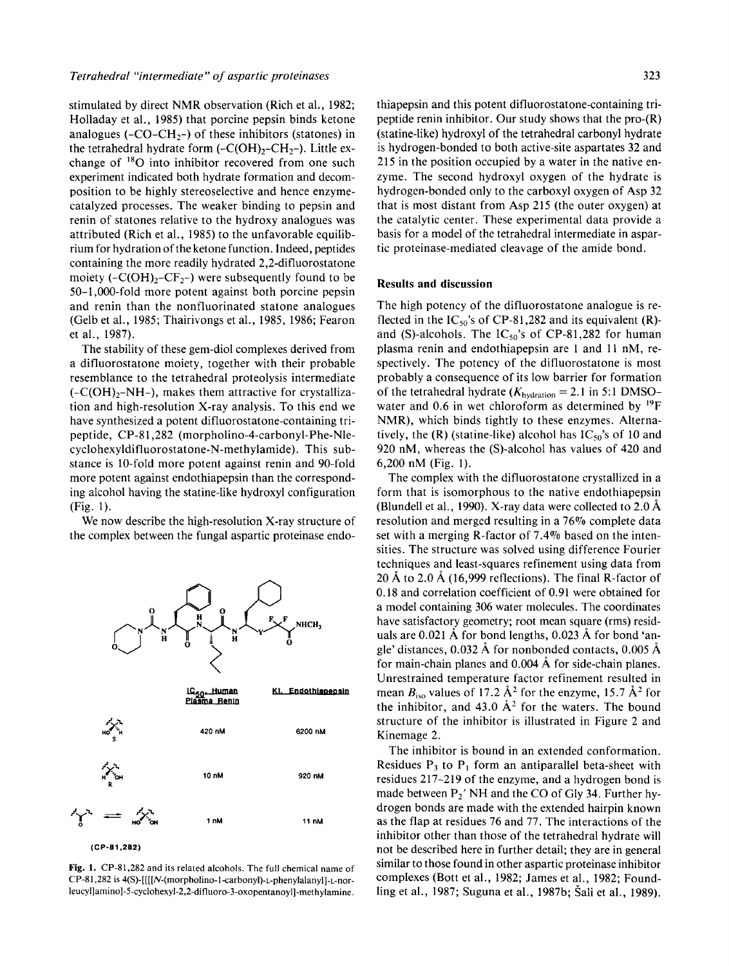stimulated by direct NMR observation (Rich et al., 1982; Holladay et al., 1985) that porcine pepsin binds ketone analogues  $(-CO-CH_{2})$  of these inhibitors (statones) in the tetrahedral hydrate form  $(-C(OH),-CH_{2})$ . Little exchange of  $^{18}O$  into inhibitor recovered from one such experiment indicated both hydrate formation and decomposition to be highly stereoselective and hence enzymecatalyzed processes. The weaker binding to pepsin and renin of statones relative to the hydroxy analogues was attributed (Rich et al., 1985) to the unfavorable equilibrium for hydration of the ketone function. Indeed, peptides containing the more readily hydrated 2,2-difluorostatone moiety  $(-C(OH)<sub>2</sub>-CF<sub>2</sub>-)$  were subsequently found to be 50-1,000-fold more potent against both porcine pepsin and renin than the nonfluorinated statone analogues (Gelb et al., 1985; Thairivongs et al., 1985, 1986; Fearon et al., 1987).

The stability of these gem-diol complexes derived from a difluorostatone moiety, together with their probable resemblance to the tetrahedral proteolysis intermediate  $(-C(OH)<sub>2</sub>-NH<sub>-</sub>)$ , makes them attractive for crystallization and high-resolution X-ray analysis. To this end we have synthesized a potent difluorostatone-containing tripeptide, CP-81,282 (morpholino-4-carbonyl-Phe-Nle**cyclohexyldifluorostatone-N-methylamide).** This substance is 10-fold more potent against renin and 90-fold more potent against endothiapepsin than the corresponding alcohol having the statine-like hydroxyl configuration (Fig. 1).

We now describe the high-resolution X-ray structure of the complex between the fungal aspartic proteinase endo-

IC<sub>50</sub>. Human<br>Plasma Renin

420 nM



1 nM

**(CP-81,282)** 

**10 nM 920 nM** 

NHCH,

Endothlapepsin

6200 nM

11 nM

thiapepsin and this potent difluorostatone-containing tripeptide renin inhibitor. Our study shows that the pro-(R) (statine-like) hydroxyl of the tetrahedral carbonyl hydrate is hydrogen-bonded to both active-site aspartates 32 and 215 in the position occupied by a water in the native enzyme. The second hydroxyl oxygen of the hydrate is hydrogen-bonded only to the carboxyl oxygen of Asp 32 that is most distant from Asp 215 (the outer oxygen) at the catalytic center. These experimental data provide a basis for a model of the tetrahedral intermediate in aspartic proteinase-mediated cleavage of the amide bond.

## **Results and discussion**

The high potency of the difluorostatone analogue is reflected in the  $IC_{50}$ 's of CP-81,282 and its equivalent (R)and (S)-alcohols. The  $IC_{50}$ 's of CP-81,282 for human plasma renin and endothiapepsin are 1 and 11 nM, respectively. The potency of the difluorostatone is most probably a consequence of its low barrier for formation of the tetrahedral hydrate  $(K_{\text{hydration}} = 2.1 \text{ in } 5:1 \text{ DMSO}$ water and 0.6 in wet chloroform as determined by  $^{19}$ F NMR), which binds tightly to these enzymes. Alternatively, the  $(R)$  (statine-like) alcohol has  $IC_{50}$ 's of 10 and 920 nM, whereas the (S)-alcohol has values of 420 and 6,200 nM (Fig. 1).

The complex with the difluorostatone crystallized in a form that is isomorphous to the native endothiapepsin (Blundell et al., 1990). X-ray data were collected to  $2.0 \text{ Å}$ resolution and merged resulting in a 76% complete data set with a merging R-factor of 7.4% based on the intensities. The structure was solved using difference Fourier techniques and least-squares refinement using data from 20 Å to 2.0 Å (16,999 reflections). The final R-factor of 0.18 and correlation coefficient of 0.91 were obtained for a model containing 306 water molecules. The coordinates have satisfactory geometry; root mean square (rms) residuals are  $0.021$  Å for bond lengths,  $0.023$  Å for bond 'angle' distances,  $0.032 \text{ Å}$  for nonbonded contacts,  $0.005 \text{ Å}$ for main-chain planes and  $0.004 \text{ Å}$  for side-chain planes. Unrestrained temperature factor refinement resulted in mean  $B_{\text{iso}}$  values of 17.2  $\mathring{A}^2$  for the enzyme, 15.7  $\mathring{A}^2$  for the inhibitor, and 43.0  $A^2$  for the waters. The bound structure of the inhibitor is illustrated in Figure 2 and Kinemage 2.

The inhibitor is bound in an extended conformation. Residues  $P_3$  to  $P_1$  form an antiparallel beta-sheet with residues 217-219 of the enzyme, and a hydrogen bond is made between **P2'** NH and the CO of Gly 34. Further hydrogen bonds are made with the extended hairpin known as the flap at residues 76 and 77. The interactions of the inhibitor other than those of the tetrahedral hydrate will not be described here in further detail; they are in general similar to those found in other aspartic proteinase inhibitor complexes (Bott et al., 1982; James et al., 1982; Foundling et al., 1987; Suguna et al., 1987b; Sali et al., 1989).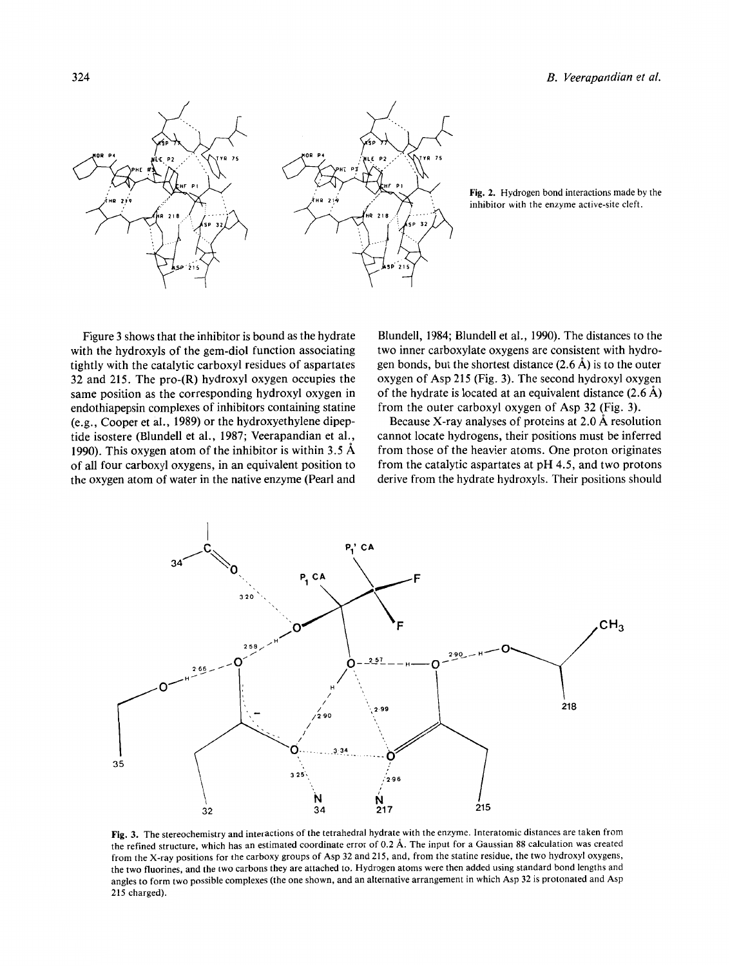

**Fig. 2.** Hydrogen bond interactions made by the inhibitor with the enzyme active-site cleft.

Figure **3** shows that the inhibitor is bound as the hydrate with the hydroxyls of the gem-diol function associating tightly with the catalytic carboxyl residues of aspartates **32** and **215.** The pro-(R) hydroxyl oxygen occupies the same position as the corresponding hydroxyl oxygen in endothiapepsin complexes of inhibitors containing statine (e.g., Cooper et al., **1989)** or the hydroxyethylene dipeptide isostere (Blundell et al., **1987;** Veerapandian et al., **1990).** This oxygen atom of the inhibitor is within **3.5** A of all four carboxyl oxygens, in an equivalent position to the oxygen atom of water in the native enzyme (Pearl and

Blundell, **1984;** Blundell et al., **1990).** The distances to the two inner carboxylate oxygens are consistent with hydrogen bonds, but the shortest distance **(2.6** A) is to the outer oxygen of Asp **215** (Fig. **3).** The second hydroxyl oxygen of the hydrate is located at an equivalent distance **(2.6** A) from the outer carboxyl oxygen of Asp **32** (Fig. **3).** 

Because X-ray analyses of proteins at **2.0** A resolution cannot locate hydrogens, their positions must be inferred from those of the heavier atoms. One proton originates from the catalytic aspartates at pH **4.5,** and two protons derive from the hydrate hydroxyls. Their positions should

![](_page_2_Figure_6.jpeg)

**Fig. 3.** The stereochemistry and interactions of the tetrahedral hydrate with the enzyme. Interatomic distances are taken from the refined Structure, which has an estimated coordinate error of **0.2** A. The input for a Gaussian 88 calculation was created **from** the X-ray positions for the carboxy groups of Asp **32** and **215,** and, from the statine residue, the two hydroxyl oxygens, the two fluorines, and the two carbons they are attached to. Hydrogen atoms were then added using standard bond lengths and angles to form two possible complexes (the one shown, and an alternative arrangement in which Asp **32** is protonated and Asp **215** charged).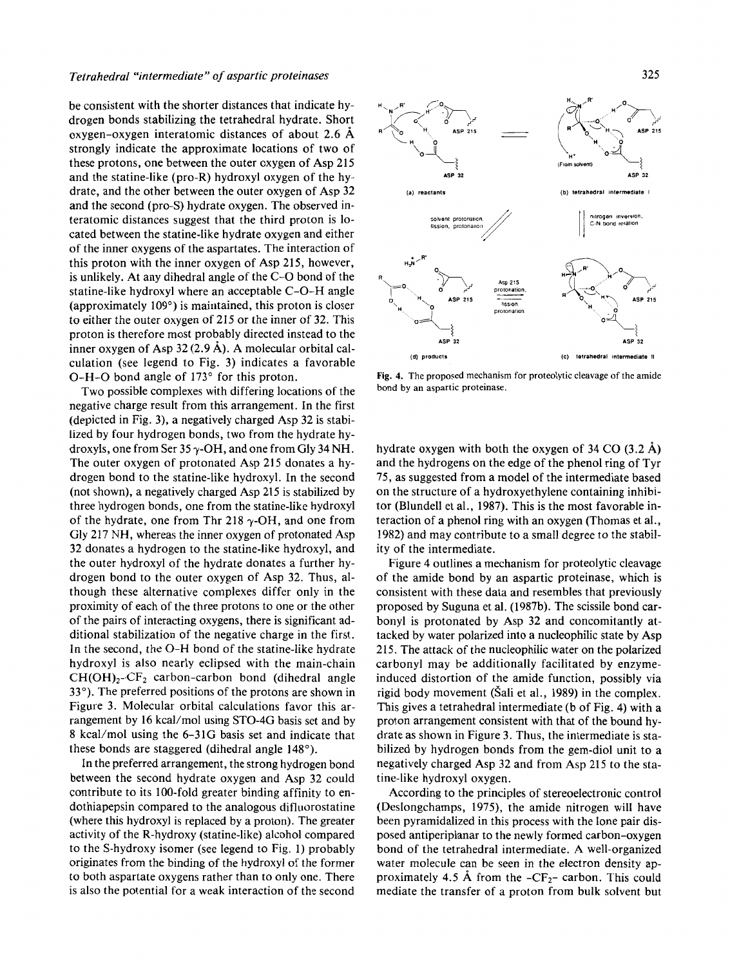be consistent with the shorter distances that indicate hydrogen bonds stabilizing the tetrahedral hydrate. Short oxygen-oxygen interatomic distances of about **2.6** A strongly indicate the approximate locations of two of these protons, one between the outer oxygen of Asp **215**  and the statine-like (pro-R) hydroxyl oxygen of the hydrate, and the other between the outer oxygen of Asp **32**  and the second (pro-S) hydrate oxygen. The observed interatomic distances suggest that the third proton is located between the statine-like hydrate oxygen and either of the inner oxygens of the aspartates. The interaction of this proton with the inner oxygen of Asp **215,** however, is unlikely. At any dihedral angle of the C-0 bond of the statine-like hydroxyl where an acceptable C-0-H angle (approximately **109")** is maintained, this proton is closer to either the outer oxygen of **215** or the inner of **32.** This proton is therefore most probably directed instead to the culation (see legend to Fig. **3)** indicates a favorable 0-H-0 bond angle of **173"** for this proton.

Two possible complexes with differing locations of the negative charge result from this arrangement. In the first (depicted in Fig. **3),** a negatively charged Asp **32** is stabilized by four hydrogen bonds, two from the hydrate hydroxyls, one from Ser 35 y-OH, and one from Gly **34** NH. The outer oxygen of protonated Asp **215** donates a hydrogen bond to the statine-like hydroxyl. In the second (not shown), a negatively charged Asp **215** is stabilized by three hydrogen bonds, one from the statine-like hydroxyl of the hydrate, one from Thr 218  $\gamma$ -OH, and one from Gly **217** NH, whereas the inner oxygen of protonated Asp **32** donates a hydrogen to the statine-like hydroxyl, and the outer hydroxyl of the hydrate donates a further hydrogen bond to the outer oxygen of Asp **32.** Thus, although these alternative complexes differ only in the proximity of each of the three protons to one or the other of the pairs of interacting oxygens, there is significant additional stabilization of the negative charge in the first. In the second, the 0-H bond of the statine-like hydrate hydroxyl is also nearly eclipsed with the main-chain  $CH(OH)<sub>2</sub>-CF<sub>2</sub>$  carbon-carbon bond (dihedral angle **33").** The preferred positions of the protons are shown in Figure **3.** Molecular orbital calculations favor this arrangement by 16 kcal/mol using STO-4G basis set and by **8** kcal/mol using the **6-31G** basis set and indicate that these bonds are staggered (dihedral angle **148").** 

In the preferred arrangement, the strong hydrogen bond between the second hydrate oxygen and Asp **32** could contribute to its 100-fold greater binding affinity to endothiapepsin compared to the analogous difluorostatine (where this hydroxyl is replaced by a proton). The greater activity of the R-hydroxy (statine-like) alcohol compared to the S-hydroxy isomer (see legend to Fig. **1)** probably originates from the binding of the hydroxyl of the former to both aspartate oxygens rather than to only one. There is also the potential for a weak interaction of the second

![](_page_3_Figure_5.jpeg)

**Fig. 4. The proposed mechanism for proteolytic cleavage of the amide bond by an aspartic proteinase.** 

hydrate oxygen with both the oxygen of **34** CO **(3.2** A) and the hydrogens on the edge of the phenol ring of Tyr **75,** as suggested from a model of the intermediate based on the structure of ahydroxyethylene containing inhibitor (Blundell et al., **1987).** This is the most favorable interaction of a phenol ring with an oxygen (Thomas et al., **1982)** and may contribute to a small degree to the stability of the intermediate.

Figure **4** outlines a mechanism for proteolytic cleavage of the amide bond by an aspartic proteinase, which is consistent with these data and resembles that previously proposed by Suguna et al. **(1987b).** The scissile bond carbonyl is protonated by Asp **32** and concomitantly attacked by water polarized into a nucleophilic state by Asp 215. The attack of the nucleophilic water on the polarized carbonyl may be additionally facilitated by enzymeinduced distortion of the amide function, possibly via rigid body movement (Sali et al., **1989)** in the complex. This gives a tetrahedral intermediate (b of Fig. **4)** with a proton arrangement consistent with that of the bound hydrate as shown in Figure **3.** Thus, the intermediate is stabilized by hydrogen bonds from the gem-diol unit to a negatively charged Asp **32** and from Asp **215** to the statine-like hydroxyl oxygen.

According to the principles of stereoelectronic control (Deslongchamps, **1975),** the amide nitrogen will have been pyramidalized in this process with the lone pair disposed antiperiplanar to the newly formed carbon-oxygen bond of the tetrahedral intermediate. A well-organized water molecule can be seen in the electron density approximately 4.5 Å from the  $-CF_{2}$ - carbon. This could mediate the transfer of **a** proton from bulk solvent but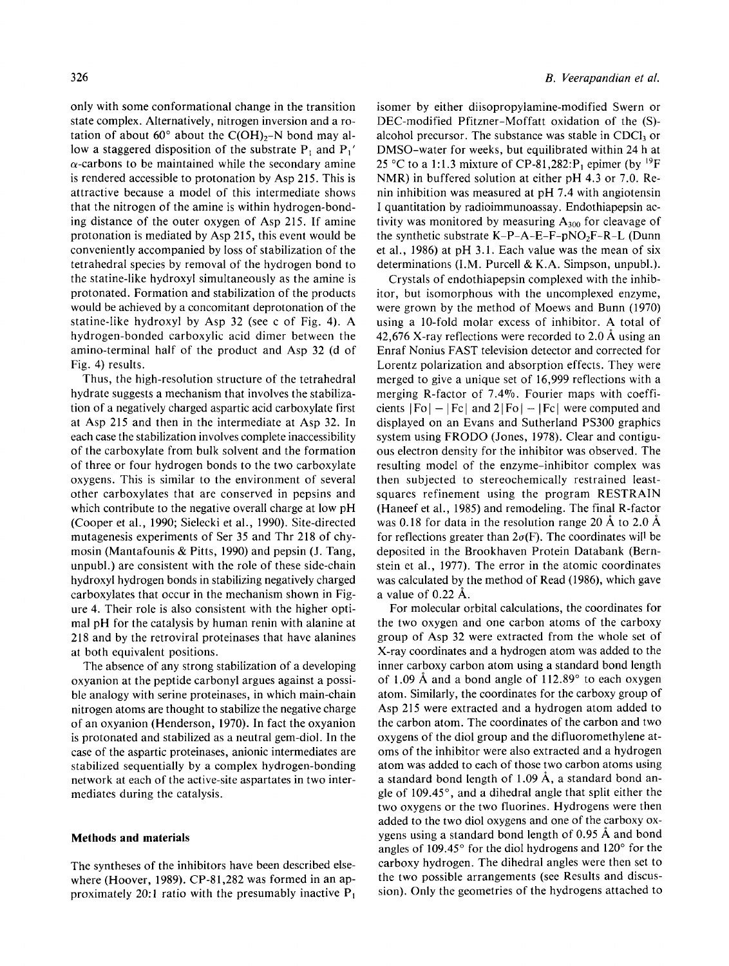only with some conformational change in the transition state complex. Alternatively, nitrogen inversion and a rotation of about  $60^{\circ}$  about the C(OH)<sub>2</sub>-N bond may allow a staggered disposition of the substrate  $P_1$  and  $P_1'$  $\alpha$ -carbons to be maintained while the secondary amine is rendered accessible to protonation by Asp 215. This is attractive because a model of this intermediate shows that the nitrogen of the amine is within hydrogen-bonding distance of the outer oxygen of Asp 215. **If** amine protonation is mediated by Asp 215, this event would be conveniently accompanied by loss of stabilization of the tetrahedral species by removal of the hydrogen bond to the statine-like hydroxyl simultaneously as the amine is protonated. Formation and stabilization of the products would be achieved by a concomitant deprotonation of the statine-like hydroxyl by Asp 32 (see c of Fig. 4). A hydrogen-bonded carboxylic acid dimer between the amino-terminal half of the product and Asp 32 (d of Fig. 4) results.

Thus, the high-resolution structure of the tetrahedral hydrate suggests a mechanism that involves the stabilization of a negatively charged aspartic acid carboxylate first at Asp 215 and then in the intermediate at Asp 32. In each case the stabilization involves complete inaccessibility of the carboxylate from bulk solvent and the formation of three or four hydrogen bonds to the two carboxylate oxygens. This is similar to the environment of several other carboxylates that are conserved in pepsins and which contribute to the negative overall charge at low pH (Cooper et al., 1990; Sielecki et al., 1990). Site-directed mutagenesis experiments of Ser 35 and Thr 218 of chymosin (Mantafounis & Pitts, 1990) and pepsin (J. Tang, unpubl.) are consistent with the role of these side-chain hydroxyl hydrogen bonds in stabilizing negatively charged carboxylates that occur in the mechanism shown in Figure 4. Their role is also consistent with the higher optimal pH for the catalysis by human renin with alanine at 218 and by the retroviral proteinases that have alanines at both equivalent positions.

The absence of any strong stabilization of a developing oxyanion at the peptide carbonyl argues against a possible analogy with serine proteinases, in which main-chain nitrogen atoms are thought to stabilize the negative charge of an oxyanion (Henderson, 1970). In fact the oxyanion is protonated and stabilized as a neutral gem-diol. In the case of the aspartic proteinases, anionic intermediates are stabilized sequentially by **a** complex hydrogen-bonding network at each of the active-site aspartates in two intermediates during the catalysis.

### **Methods and materials**

The syntheses of the inhibitors have been described elsewhere (Hoover, 1989). CP-81,282 was formed in an approximately 20:1 ratio with the presumably inactive  $P_1$  isomer by either diisopropylamine-modified Swern or DEC-modified Pfitzner-Moffatt oxidation of the (S) alcohol precursor. The substance was stable in CDCl $_3$  or DMSO-water for weeks, but equilibrated within 24 h at 25 °C to a 1:1.3 mixture of CP-81,282:P<sub>1</sub> epimer (by <sup>19</sup>F NMR) in buffered solution at either pH 4.3 or 7.0. Renin inhibition was measured at pH 7.4 with angiotensin I quantitation by radioimmunoassay. Endothiapepsin activity was monitored by measuring  $A_{300}$  for cleavage of the synthetic substrate  $K-P-A-E-F-pNO<sub>2</sub>F-R-L$  (Dunn et al., 1986) at pH 3.1. Each value was the mean of six determinations (I.M. Purcell & K.A. Simpson, unpubl.).

Crystals of endothiapepsin complexed with the inhibitor, but isomorphous with the uncomplexed enzyme, were grown by the method of Moews and Bunn (1970) using a 10-fold molar excess of inhibitor. A total of 42,676 X-ray reflections were recorded to 2.0 Å using an Enraf Nonius FAST television detector and corrected for Lorentz polarization and absorption effects. They were merged to give a unique set of 16,999 reflections with a merging R-factor of 7.4%. Fourier maps with coefficients  $|F_0| - |F_c|$  and  $2|F_0| - |F_c|$  were computed and displayed on an Evans and Sutherland PS300 graphics system using FRODO (Jones, 1978). Clear and contiguous electron density for the inhibitor was observed. The resulting model of the enzyme-inhibitor complex was then subjected to stereochemically restrained leastsquares refinement using the program RESTRAIN (Haneef et al., 1985) and remodeling. The final R-factor was 0.18 for data in the resolution range 20 Å to 2.0 Å for reflections greater than  $2\sigma(F)$ . The coordinates will be deposited in the Brookhaven Protein Databank (Bernstein et al., 1977). The error in the atomic coordinates was calculated by the method of Read (1986), which gave a value of 0.22 A.

For molecular orbital calculations, the coordinates for the two oxygen and one carbon atoms of the carboxy group of Asp 32 were extracted from the whole set of X-ray coordinates and a hydrogen atom was added to the inner carboxy carbon atom using a standard bond length of 1.09 Å and a bond angle of  $112.89^{\circ}$  to each oxygen atom. Similarly, the coordinates for the carboxy group of Asp 215 were extracted and a hydrogen atom added to the carbon atom. The coordinates of the carbon and two oxygens of the diol group and the difluoromethylene atoms of the inhibitor were also extracted and a hydrogen atom was added to each of those two carbon atoms using a standard bond length of  $1.09 \text{ Å}$ , a standard bond angle of  $109.45^\circ$ , and a dihedral angle that split either the two oxygens or the two fluorines. Hydrogens were then added to the two diol oxygens and one of the carboxy oxygens using a standard bond length of 0.95 A and bond angles of 109.45 $\degree$  for the diol hydrogens and 120 $\degree$  for the carboxy hydrogen. The dihedral angles were then set to the two possible arrangements (see Results and discussion). Only the geometries of the hydrogens attached to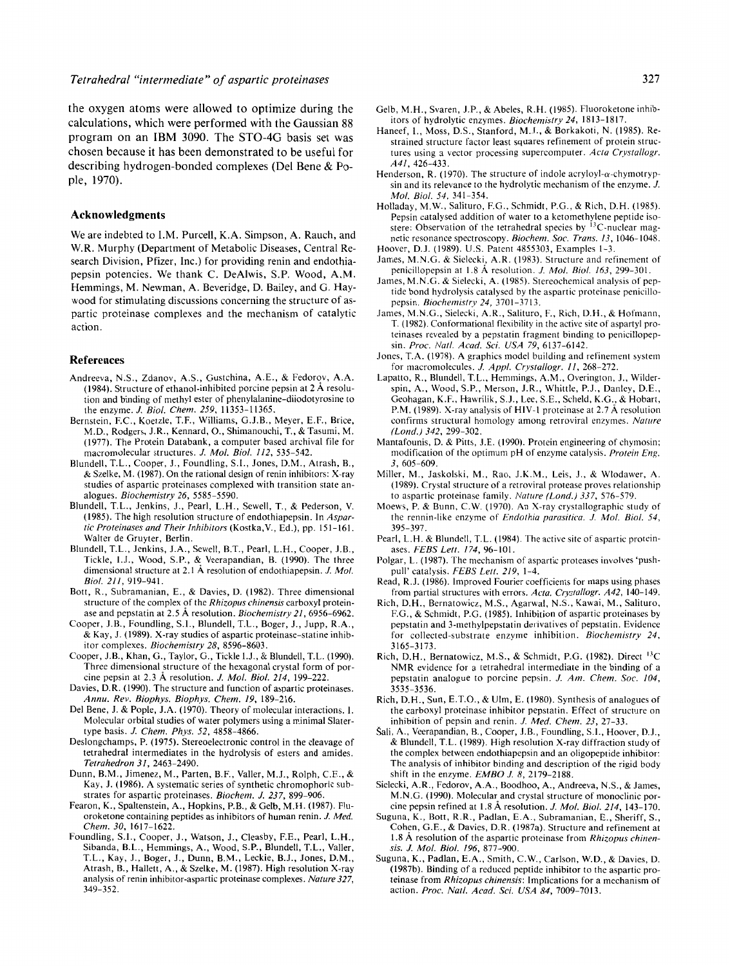the oxygen atoms were allowed to optimize during the calculations, which were performed with the Gaussian 88 program on an IBM 3090. The STO-4G basis set was chosen because it has been demonstrated to be useful for describing hydrogen-bonded complexes (Del Bene & Pople, 1970).

#### **Acknowledgments**

We are indebted to I.M. Purcell, K.A. Simpson, A. Rauch, and W.R. Murphy (Department of Metabolic Diseases, Central Research Division, Pfizer, Inc.) for providing renin and endothiapepsin potencies. We thank C. DeAlwis, **S.P.** Wood, A.M. Hemmings, M. Newman, A. Beveridge, D. Bailey, and *G.* Haywood for stimulating discussions concerning the structure of aspartic proteinase complexes and the mechanism of catalytic action.

#### **References**

- Andreeva, N.S., Zdanov, A.S., Gustchina, A.E., & Fedorov, A.A. (1984). Structure of ethanol-inhibited porcine pepsin at 2 A resolution and binding of methyl ester of phenylalanine-diiodotyrosine to the enzyme. *J. Biol. Chem. 259,* 11353-11365.
- Bernstein, F.C., Koetzle, T.F., Williams, G.J.B., Meyer, E.F., Brice, M.D., Rodgers, J.R., Kennard, O., Shimanouchi, T., & Tasumi, M. (1977). The Protein Databank, a computer based archival file for macromolecular structures. *J. Mol. Biol. 112,* 535-542.
- Blundell, T.L., Cooper, J., Foundling, S.I., Jones, D.M., Atrash, B., & Szelke, M. (1987). On the rational design of renin inhibitors: X-ray studies of aspartic proteinases complexed with transition state analogues. *Biochemistry 26,* 5585-5590.
- Blundell, T.L., Jenkins, J., Pearl, L.H., Sewell, T., & Pederson, V. (1985). The high resolution structure of endothiapepsin. In *Aspartic Proteinases and Their Inhibitors* (Kostka,V., Ed.), pp. 151-161. Walter de Gruyter, Berlin.
- Blundell, T.L., Jenkins, J.A., Sewell, B.T., Pearl, L.H., Cooper, J.B., Tickle, I.J., Wood, S.P., & Veerapandian, B. (1990). The three dimensional structure at 2.1 A resolution of endothiapepsin. *J. Mol. Biol. 211,* 919-941.
- Bott, R., Subramanian, E., & Davies, D. (1982). Three dimensional structure of the complex Of the *Rhizopus chinensis* carboxyl proteinase and pepstatin at 2.5 A resolution. *Biochemisfry21,6956-6962.*
- Cooper, J.B., Foundling, S.I., Blundell, T.L., Boger, J., Jupp, R.A., & Kay, J. (1989). X-ray studies of aspartic proteinase-statine inhibitor complexes. *Biochemistry 28,* 8596-8603.
- Cooper, J.B., Khan, G., Taylor, G., Tickle I.J., & Blundell, T.L. (1990). Three dimensional structure of the hexagonal crystal form of porcine pepsin at 2.3 A resolution. *J. Mol. Biol. 214,* 199-222.
- Davies, D.R. (1990). The structure and function of aspartic proteinases. *Annu. Rev. Biophys. Biophys. Chem. 19,* 189-216.
- Del Bene, J. & Pople, J.A. (1970). Theory of molecular interactions. I. Molecular orbital studies of water polymers using a minimal Slatertype basis. *J. Chem. Phys. 52,* 4858-4866.
- Deslongchamps, P. (1975). Stereoelectronic control in the cleavage of tetrahedral intermediates in the hydrolysis of esters and amides. *Tetrahedron 31,* 2463-2490.
- Dunn, B.M., Jimenez, M., Parten, B.F., Valler, M.J., Rolph, C.E., & Kay, J. (1986). A systematic series of synthetic chromophoric substrates for aspartic proteinases. *Biochem. J. 237,* 899-906.
- Fearon, **K.,** Spaltenstein, A., Hopkins, P.B., & Gelb, M.H. (1987). Fluoroketone containing peptides as inhibitors of human renin. *J. Med. Chem. 30,* 1617-1622.
- Foundling, S.I., Cooper, **J.,** Watson, J., Cleasby, F.E., Pearl, L.H., Sibanda, B.L., Hemmings, A,, Wood, S.P., Blundell, T.L., Valler, T.L., Kay, J., Boger, J., Dunn, B.M., Leckie, B.J., Jones, D.M., Atrash, B., Hallett, A,, & Szelke, M. (1987). High resolution X-ray analysis of renin inhibitor-aspartic proteinase complexes. *Nature327,*  349-352.
- Gelb, M.H., Svaren, J.P., & Abeles, R.H. (1985). Fluoroketone inhibitors of hydrolytic enzymes. *Biochemistry 24,* 1813-1817.
- Haneef, **I.,** Moss, D.S., Stanford, M.J., & Borkakoti, N. (1985). Restrained structure factor least squares refinement of protein structures using **a** vector processing supercomputer. *Acta Crystallogr. A41,* 426-433.
- Henderson, R. (1970). The structure of indole acryloyl- $\alpha$ -chymotrypsin and its relevance *to* the hydrolytic mechanism of the enzyme. *J. Mol. Biol. 54,* 341-354.
- Holladay, M.W., Salituro, F.G., Schmidt, P.G., & Rich, D.H. (1985). Pepsin catalysed addition of water to a ketomethylene peptide isostere: Observation of the tetrahedral species by  ${}^{13}C$ -nuclear magnetic resonance spectroscopy. *Biochem.* Soc. *Trans. 13,* 1046-1048. Hoover, D.J. (1989). U.S. Patent 4855303, Examples 1-3.
- 
- James, M.N.G. & Sielecki, A.R. (1983). Structure and refinement of penicillopepsin at 1.8 A resolution. *J. Mol. Biol. 163,* 299-301.
- James, M.N.G. & Sielecki, A. (1985). Stereochemical analysis of peptide bond hydrolysis catalysed by the aspartic proteinase penicillopepsin. *Biochemistry 24,* 3701-3713.
- James, M.N.G., Sielecki, A.R., Salituro, F., Rich, D.H., & Hofmann, T. (1982). Conformational flexibility in the active site of aspartyl proteinases revealed by a pepstatin fragment binding to penicillopepsin. *Proc. Nail. Acad. Sei. USA 79,* 6137-6142.
- Jones, T.A. (1978). A graphics model building and refinement system for macromolecules. *J. Appl. Crystallogr. 11,* 268-272.
- Lapatto, R., Blundell, T.L., Hemmings, A.M., Overington, **J.,** Wilderspin, A,, Wood, S.P., Merson, J.R., Whittle, P.J., Danley, D.E., Geohagan, **K.F.,** Hawrilik, S.J., Lee, S.E., Scheld, K.G., & Hobart, P.M. (1989). X-ray analysis of HIV-1 proteinase at 2.7 Å resolution confirms structural homology among retroviral enzymes. *Nature fLond.) 342,* 299-302.
- Mantafounis, D. & Pitts, J.E. (1990). Protein engineering of chymosin; modification of the optimum pH of enzyme catalysis. *Protein Eng. 3,* 605-609.
- Miller, M., Jaskolski, M., Rao, J.K.M., Leis, J., & Wlodawer, A. (1989). Crystal structure of a retroviral protease proves relationship to aspartic proteinase family. *Nature (Lond.) 337,* 576-579.
- Moews, P. & Bunn, C.W. (1970). An X-ray crystallographic study of the rennin-like enzyme of *Endothia parasitica. J. Mol. Biol. 54,*  395-397.
- Pearl, L.H. & Blundell, T.L. (1984). The active site of aspartic proteinases. *FEBS Lett. 174,* 96-101.
- Polgar, L. (1987). The mechanism of aspartic proteases involves 'pushpull' catalysis. *FEBS Lett. 219,* 1-4.
- Read, R.J. (1986). Improved Fourier coefficients for maps using phases from partial structures with errors. Acta. Crystallogr. A42, 140-149.
- Rich, D.H., Bernatowicz, M.S., Agarwal, N.S., Kawai, M., Salituro, F.G., & Schmidt, P.G. (1985). Inhibition of aspartic proteinases by pepstatin and 3-methylpepstatin derivatives of pepstatin. Evidence 3165-3173. for collected-substrate enzyme inhibition. *Biochemistry 24,*
- Rich, D.H., Bernatowicz, M.S., & Schmidt, P.G. (1982). Direct <sup>13</sup>C NMR evidence for a tetrahedral intermediate in the binding of a pepstatin analogue to porcine pepsin. *J. Am. Chem. Soc. 104,*  3535-3536.
- Rich, D.H., Sun, E.T.O., & Ulm, E. (1980). Synthesis of analogues of the carboxyl proteinase inhibitor pepstatin. Effect of structure on inhibition of pepsin and renin. *J. Med. Chem. 23,* 27-33.
- Šali, A., Veerapandian, B., Cooper, J.B., Foundling, S.I., Hoover, D.J., & Blundell, T.L. (1989). High resolution X-ray diffraction study of the complex between endothiapepsin and an oligopeptide inhibitor: The analysis of inhibitor binding and description of the rigid body shift in the enzyme. *EMBO J. 8,* 2179-2188.
- Sielecki, A.R., Fedorov, A.A., Boodhoo, A., Andreeva, N.S., & James, M.N.G. (1990). Molecular and crystal structure of monoclinic porcine pepsin refined at 1.8 A resolution. *J. Mol. Biol. 214,* 143-170.
- Suguna, **K.,** Bott, R.R., Padlan, E.A., Subramanian, **E.,** Sheriff, S., Cohen, G.E., & Davies, D.R. (1987a). Structure and refinement at 1.8 **A** resolution of the aspartic proteinase from *Rhizopus chinensis. J. Mol. Biol. 196,* 877-900.
- Suguna, **K.,** Padlan, **E.A.,** Smith, C.W., Carlson, W.D., & Davies, D. (1987b). Binding of a reduced peptide inhibitor to the aspartic proteinase from *Rhizopus chinensis:* Implications for a mechanism of action. *Proc. Nail. Acad. Sci. USA 84,* 7009-7013.